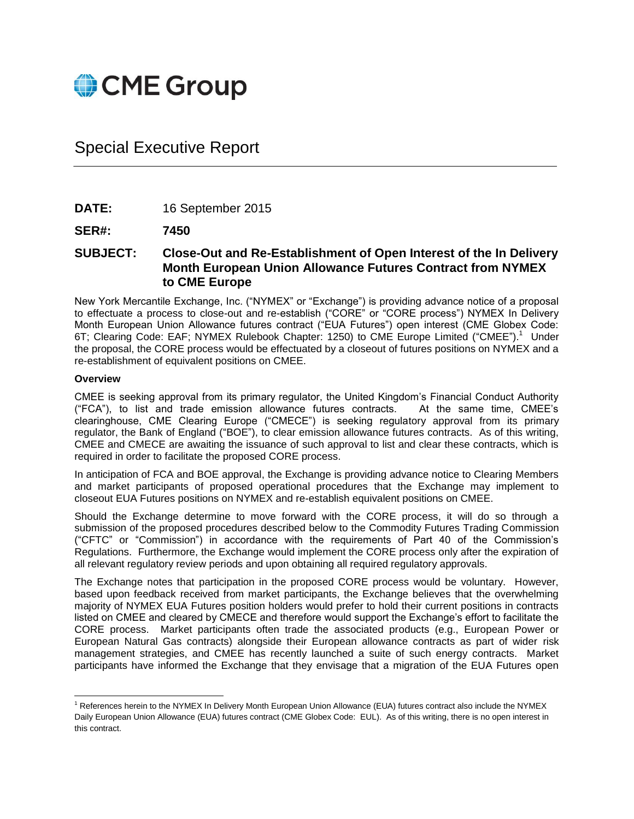

## Special Executive Report

**DATE:** 16 September 2015

**SER#: 7450**

**SUBJECT: Close-Out and Re-Establishment of Open Interest of the In Delivery Month European Union Allowance Futures Contract from NYMEX to CME Europe**

New York Mercantile Exchange, Inc. ("NYMEX" or "Exchange") is providing advance notice of a proposal to effectuate a process to close-out and re-establish ("CORE" or "CORE process") NYMEX In Delivery Month European Union Allowance futures contract ("EUA Futures") open interest (CME Globex Code: 6T; Clearing Code: EAF; NYMEX Rulebook Chapter: 1250) to CME Europe Limited ("CMEE").<sup>1</sup> Under the proposal, the CORE process would be effectuated by a closeout of futures positions on NYMEX and a re-establishment of equivalent positions on CMEE.

## **Overview**

CMEE is seeking approval from its primary regulator, the United Kingdom's Financial Conduct Authority ("FCA"), to list and trade emission allowance futures contracts. At the same time, CMEE's clearinghouse, CME Clearing Europe ("CMECE") is seeking regulatory approval from its primary regulator, the Bank of England ("BOE"), to clear emission allowance futures contracts. As of this writing, CMEE and CMECE are awaiting the issuance of such approval to list and clear these contracts, which is required in order to facilitate the proposed CORE process.

In anticipation of FCA and BOE approval, the Exchange is providing advance notice to Clearing Members and market participants of proposed operational procedures that the Exchange may implement to closeout EUA Futures positions on NYMEX and re-establish equivalent positions on CMEE.

Should the Exchange determine to move forward with the CORE process, it will do so through a submission of the proposed procedures described below to the Commodity Futures Trading Commission ("CFTC" or "Commission") in accordance with the requirements of Part 40 of the Commission's Regulations. Furthermore, the Exchange would implement the CORE process only after the expiration of all relevant regulatory review periods and upon obtaining all required regulatory approvals.

The Exchange notes that participation in the proposed CORE process would be voluntary. However, based upon feedback received from market participants, the Exchange believes that the overwhelming majority of NYMEX EUA Futures position holders would prefer to hold their current positions in contracts listed on CMEE and cleared by CMECE and therefore would support the Exchange's effort to facilitate the CORE process. Market participants often trade the associated products (e.g., European Power or European Natural Gas contracts) alongside their European allowance contracts as part of wider risk management strategies, and CMEE has recently launched a suite of such energy contracts. Market participants have informed the Exchange that they envisage that a migration of the EUA Futures open

 $\overline{\phantom{a}}$ <sup>1</sup> References herein to the NYMEX In Delivery Month European Union Allowance (EUA) futures contract also include the NYMEX Daily European Union Allowance (EUA) futures contract (CME Globex Code: EUL). As of this writing, there is no open interest in this contract.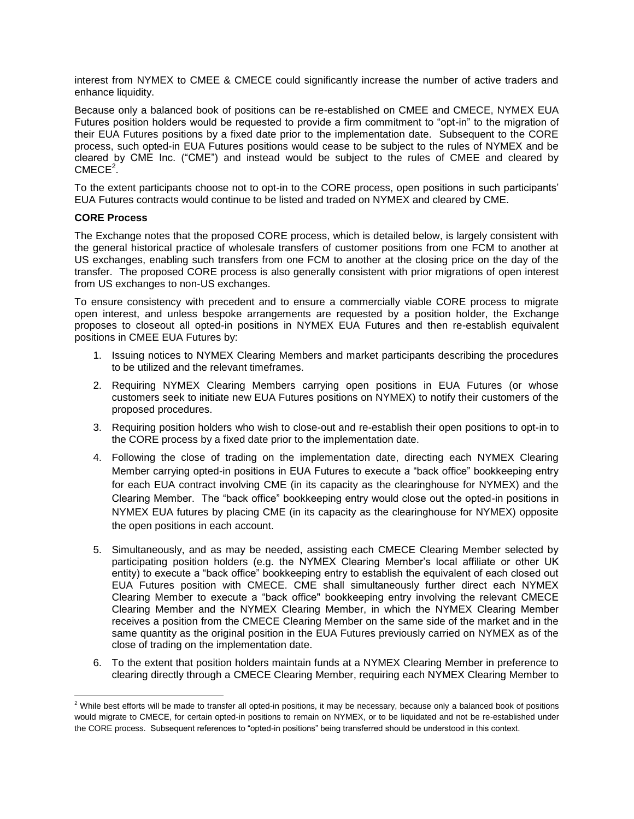interest from NYMEX to CMEE & CMECE could significantly increase the number of active traders and enhance liquidity.

Because only a balanced book of positions can be re-established on CMEE and CMECE, NYMEX EUA Futures position holders would be requested to provide a firm commitment to "opt-in" to the migration of their EUA Futures positions by a fixed date prior to the implementation date. Subsequent to the CORE process, such opted-in EUA Futures positions would cease to be subject to the rules of NYMEX and be cleared by CME Inc. ("CME") and instead would be subject to the rules of CMEE and cleared by  $CMECE<sup>2</sup>$ .

To the extent participants choose not to opt-in to the CORE process, open positions in such participants' EUA Futures contracts would continue to be listed and traded on NYMEX and cleared by CME.

## **CORE Process**

The Exchange notes that the proposed CORE process, which is detailed below, is largely consistent with the general historical practice of wholesale transfers of customer positions from one FCM to another at US exchanges, enabling such transfers from one FCM to another at the closing price on the day of the transfer. The proposed CORE process is also generally consistent with prior migrations of open interest from US exchanges to non-US exchanges.

To ensure consistency with precedent and to ensure a commercially viable CORE process to migrate open interest, and unless bespoke arrangements are requested by a position holder, the Exchange proposes to closeout all opted-in positions in NYMEX EUA Futures and then re-establish equivalent positions in CMEE EUA Futures by:

- 1. Issuing notices to NYMEX Clearing Members and market participants describing the procedures to be utilized and the relevant timeframes.
- 2. Requiring NYMEX Clearing Members carrying open positions in EUA Futures (or whose customers seek to initiate new EUA Futures positions on NYMEX) to notify their customers of the proposed procedures.
- 3. Requiring position holders who wish to close-out and re-establish their open positions to opt-in to the CORE process by a fixed date prior to the implementation date.
- 4. Following the close of trading on the implementation date, directing each NYMEX Clearing Member carrying opted-in positions in EUA Futures to execute a "back office" bookkeeping entry for each EUA contract involving CME (in its capacity as the clearinghouse for NYMEX) and the Clearing Member. The "back office" bookkeeping entry would close out the opted-in positions in NYMEX EUA futures by placing CME (in its capacity as the clearinghouse for NYMEX) opposite the open positions in each account.
- 5. Simultaneously, and as may be needed, assisting each CMECE Clearing Member selected by participating position holders (e.g. the NYMEX Clearing Member's local affiliate or other UK entity) to execute a "back office" bookkeeping entry to establish the equivalent of each closed out EUA Futures position with CMECE. CME shall simultaneously further direct each NYMEX Clearing Member to execute a "back office" bookkeeping entry involving the relevant CMECE Clearing Member and the NYMEX Clearing Member, in which the NYMEX Clearing Member receives a position from the CMECE Clearing Member on the same side of the market and in the same quantity as the original position in the EUA Futures previously carried on NYMEX as of the close of trading on the implementation date.
- 6. To the extent that position holders maintain funds at a NYMEX Clearing Member in preference to clearing directly through a CMECE Clearing Member, requiring each NYMEX Clearing Member to

 $\overline{\phantom{a}}$  $^2$  While best efforts will be made to transfer all opted-in positions, it may be necessary, because only a balanced book of positions would migrate to CMECE, for certain opted-in positions to remain on NYMEX, or to be liquidated and not be re-established under the CORE process. Subsequent references to "opted-in positions" being transferred should be understood in this context.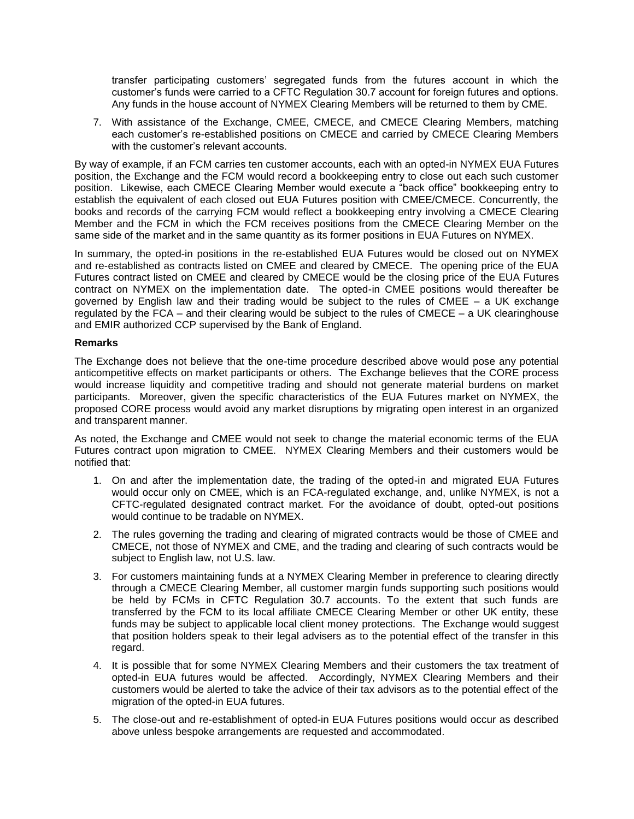transfer participating customers' segregated funds from the futures account in which the customer's funds were carried to a CFTC Regulation 30.7 account for foreign futures and options. Any funds in the house account of NYMEX Clearing Members will be returned to them by CME.

7. With assistance of the Exchange, CMEE, CMECE, and CMECE Clearing Members, matching each customer's re-established positions on CMECE and carried by CMECE Clearing Members with the customer's relevant accounts.

By way of example, if an FCM carries ten customer accounts, each with an opted-in NYMEX EUA Futures position, the Exchange and the FCM would record a bookkeeping entry to close out each such customer position. Likewise, each CMECE Clearing Member would execute a "back office" bookkeeping entry to establish the equivalent of each closed out EUA Futures position with CMEE/CMECE. Concurrently, the books and records of the carrying FCM would reflect a bookkeeping entry involving a CMECE Clearing Member and the FCM in which the FCM receives positions from the CMECE Clearing Member on the same side of the market and in the same quantity as its former positions in EUA Futures on NYMEX.

In summary, the opted-in positions in the re-established EUA Futures would be closed out on NYMEX and re-established as contracts listed on CMEE and cleared by CMECE. The opening price of the EUA Futures contract listed on CMEE and cleared by CMECE would be the closing price of the EUA Futures contract on NYMEX on the implementation date. The opted-in CMEE positions would thereafter be governed by English law and their trading would be subject to the rules of CMEE – a UK exchange regulated by the FCA – and their clearing would be subject to the rules of CMECE – a UK clearinghouse and EMIR authorized CCP supervised by the Bank of England.

## **Remarks**

The Exchange does not believe that the one-time procedure described above would pose any potential anticompetitive effects on market participants or others. The Exchange believes that the CORE process would increase liquidity and competitive trading and should not generate material burdens on market participants. Moreover, given the specific characteristics of the EUA Futures market on NYMEX, the proposed CORE process would avoid any market disruptions by migrating open interest in an organized and transparent manner.

As noted, the Exchange and CMEE would not seek to change the material economic terms of the EUA Futures contract upon migration to CMEE. NYMEX Clearing Members and their customers would be notified that:

- 1. On and after the implementation date, the trading of the opted-in and migrated EUA Futures would occur only on CMEE, which is an FCA-regulated exchange, and, unlike NYMEX, is not a CFTC-regulated designated contract market. For the avoidance of doubt, opted-out positions would continue to be tradable on NYMEX.
- 2. The rules governing the trading and clearing of migrated contracts would be those of CMEE and CMECE, not those of NYMEX and CME, and the trading and clearing of such contracts would be subject to English law, not U.S. law.
- 3. For customers maintaining funds at a NYMEX Clearing Member in preference to clearing directly through a CMECE Clearing Member, all customer margin funds supporting such positions would be held by FCMs in CFTC Regulation 30.7 accounts. To the extent that such funds are transferred by the FCM to its local affiliate CMECE Clearing Member or other UK entity, these funds may be subject to applicable local client money protections. The Exchange would suggest that position holders speak to their legal advisers as to the potential effect of the transfer in this regard.
- 4. It is possible that for some NYMEX Clearing Members and their customers the tax treatment of opted-in EUA futures would be affected. Accordingly, NYMEX Clearing Members and their customers would be alerted to take the advice of their tax advisors as to the potential effect of the migration of the opted-in EUA futures.
- 5. The close-out and re-establishment of opted-in EUA Futures positions would occur as described above unless bespoke arrangements are requested and accommodated.